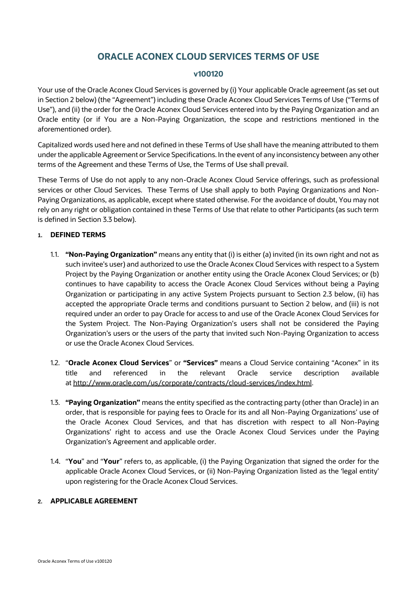# **ORACLE ACONEX CLOUD SERVICES TERMS OF USE**

# **v100120**

Your use of the Oracle Aconex Cloud Services is governed by (i) Your applicable Oracle agreement (as set out in Section 2 below) (the "Agreement") including these Oracle Aconex Cloud Services Terms of Use ("Terms of Use"), and (ii) the order for the Oracle Aconex Cloud Services entered into by the Paying Organization and an Oracle entity (or if You are a Non-Paying Organization, the scope and restrictions mentioned in the aforementioned order).

Capitalized words used here and not defined in these Terms of Use shall have the meaning attributed to them under the applicable Agreement or Service Specifications. In the event of any inconsistency between any other terms of the Agreement and these Terms of Use, the Terms of Use shall prevail.

These Terms of Use do not apply to any non-Oracle Aconex Cloud Service offerings, such as professional services or other Cloud Services. These Terms of Use shall apply to both Paying Organizations and Non-Paying Organizations, as applicable, except where stated otherwise. For the avoidance of doubt, You may not rely on any right or obligation contained in these Terms of Use that relate to other Participants (as such term is defined in Section 3.3 below).

#### **1. DEFINED TERMS**

- 1.1. **"Non-Paying Organization"** means any entity that (i) is either (a) invited (in its own right and not as such invitee's user) and authorized to use the Oracle Aconex Cloud Services with respect to a System Project by the Paying Organization or another entity using the Oracle Aconex Cloud Services; or (b) continues to have capability to access the Oracle Aconex Cloud Services without being a Paying Organization or participating in any active System Projects pursuant to Section 2.3 below, (ii) has accepted the appropriate Oracle terms and conditions pursuant to Section 2 below, and (iii) is not required under an order to pay Oracle for access to and use of the Oracle Aconex Cloud Services for the System Project. The Non-Paying Organization's users shall not be considered the Paying Organization's users or the users of the party that invited such Non-Paying Organization to access or use the Oracle Aconex Cloud Services.
- 1.2. "**Oracle Aconex Cloud Services**" or **"Services"** means a Cloud Service containing "Aconex" in its title and referenced in the relevant Oracle service description available at [http://www.oracle.com/us/corporate/contracts/cloud-services/index.html.](http://www.oracle.com/us/corporate/contracts/cloud-services/index.html)
- 1.3. **"Paying Organization"** means the entity specified as the contracting party (other than Oracle) in an order, that is responsible for paying fees to Oracle for its and all Non-Paying Organizations' use of the Oracle Aconex Cloud Services, and that has discretion with respect to all Non-Paying Organizations' right to access and use the Oracle Aconex Cloud Services under the Paying Organization's Agreement and applicable order.
- 1.4. "**You**" and "**Your**" refers to, as applicable, (i) the Paying Organization that signed the order for the applicable Oracle Aconex Cloud Services, or (ii) Non-Paying Organization listed as the 'legal entity' upon registering for the Oracle Aconex Cloud Services.

#### **2. APPLICABLE AGREEMENT**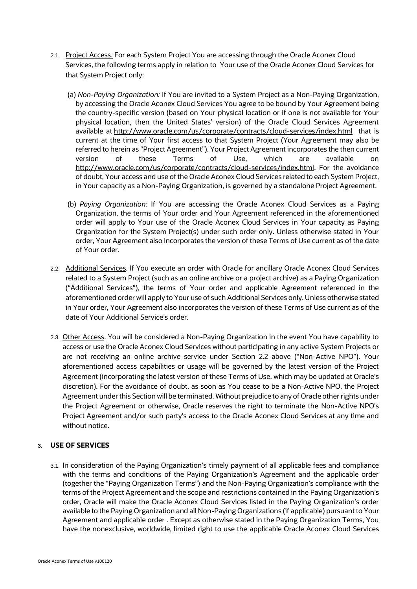- 2.1. Project Access. For each System Project You are accessing through the Oracle Aconex Cloud Services, the following terms apply in relation to Your use of the Oracle Aconex Cloud Services for that System Project only:
	- (a) *Non-Paying Organization:* If You are invited to a System Project as a Non-Paying Organization, by accessing the Oracle Aconex Cloud Services You agree to be bound by Your Agreement being the country-specific version (based on Your physical location or if one is not available for Your physical location, then the United States' version) of the Oracle Cloud Services Agreement available at <http://www.oracle.com/us/corporate/contracts/cloud-services/index.html> that is current at the time of Your first access to that System Project (Your Agreement may also be referred to herein as "Project Agreement"). Your Project Agreement incorporates the then current version of these Terms of Use, which are available on [http://www.oracle.com/us/corporate/contracts/cloud-services/index.html.](http://www.oracle.com/us/corporate/contracts/cloud-services/index.html) For the avoidance of doubt, Your access and use of the Oracle Aconex Cloud Services related to each System Project, in Your capacity as a Non-Paying Organization, is governed by a standalone Project Agreement.
	- (b) *Paying Organization:* If You are accessing the Oracle Aconex Cloud Services as a Paying Organization, the terms of Your order and Your Agreement referenced in the aforementioned order will apply to Your use of the Oracle Aconex Cloud Services in Your capacity as Paying Organization for the System Project(s) under such order only. Unless otherwise stated in Your order, Your Agreement also incorporates the version of these Terms of Use current as of the date of Your order.
- 2.2. Additional Services. If You execute an order with Oracle for ancillary Oracle Aconex Cloud Services related to a System Project (such as an online archive or a project archive) as a Paying Organization ("Additional Services"), the terms of Your order and applicable Agreement referenced in the aforementioned order will apply to Your use of such Additional Services only. Unless otherwise stated in Your order, Your Agreement also incorporates the version of these Terms of Use current as of the date of Your Additional Service's order.
- 2.3. Other Access. You will be considered a Non-Paying Organization in the event You have capability to access or use the Oracle Aconex Cloud Services without participating in any active System Projects or are not receiving an online archive service under Section 2.2 above ("Non-Active NPO"). Your aforementioned access capabilities or usage will be governed by the latest version of the Project Agreement (incorporating the latest version of these Terms of Use, which may be updated at Oracle's discretion). For the avoidance of doubt, as soon as You cease to be a Non-Active NPO, the Project Agreement under this Section will be terminated. Without prejudice to any of Oracle other rights under the Project Agreement or otherwise, Oracle reserves the right to terminate the Non-Active NPO's Project Agreement and/or such party's access to the Oracle Aconex Cloud Services at any time and without notice.

# **3. USE OF SERVICES**

3.1. In consideration of the Paying Organization's timely payment of all applicable fees and compliance with the terms and conditions of the Paying Organization's Agreement and the applicable order (together the "Paying Organization Terms") and the Non-Paying Organization's compliance with the terms of the Project Agreement and the scope and restrictions contained in the Paying Organization's order, Oracle will make the Oracle Aconex Cloud Services listed in the Paying Organization's order available to the Paying Organization and all Non-Paying Organizations (if applicable) pursuant to Your Agreement and applicable order . Except as otherwise stated in the Paying Organization Terms, You have the nonexclusive, worldwide, limited right to use the applicable Oracle Aconex Cloud Services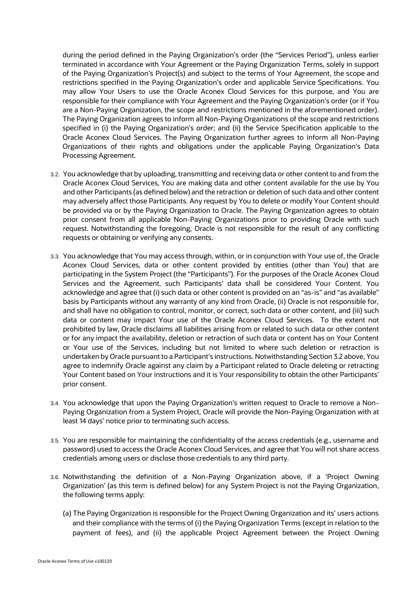during the period defined in the Paying Organization's order (the "Services Period"), unless earlier terminated in accordance with Your Agreement or the Paying Organization Terms, solely in support of the Paying Organization's Project(s) and subject to the terms of Your Agreement, the scope and restrictions specified in the Paying Organization's order and applicable Service Specifications. You may allow Your Users to use the Oracle Aconex Cloud Services for this purpose, and You are responsible for their compliance with Your Agreement and the Paying Organization's order (or if You are a Non-Paying Organization, the scope and restrictions mentioned in the aforementioned order). The Paying Organization agrees to inform all Non-Paying Organizations of the scope and restrictions specified in (i) the Paying Organization's order; and (ii) the Service Specification applicable to the Oracle Aconex Cloud Services. The Paying Organization further agrees to inform all Non-Paying Organizations of their rights and obligations under the applicable Paying Organization's Data Processing Agreement.

- 3.2. You acknowledge that by uploading, transmitting and receiving data or other content to and from the Oracle Aconex Cloud Services, You are making data and other content available for the use by You and other Participants (as defined below) and the retraction or deletion of such data and other content may adversely affect those Participants. Any request by You to delete or modify Your Content should be provided via or by the Paying Organization to Oracle. The Paying Organization agrees to obtain prior consent from all applicable Non-Paying Organizations prior to providing Oracle with such request. Notwithstanding the foregoing, Oracle is not responsible for the result of any conflicting requests or obtaining or verifying any consents.
- 3.3. You acknowledge that You may access through, within, or in conjunction with Your use of, the Oracle Aconex Cloud Services, data or other content provided by entities (other than You) that are participating in the System Project (the "Participants"). For the purposes of the Oracle Aconex Cloud Services and the Agreement, such Participants' data shall be considered Your Content. You acknowledge and agree that (i) such data or other content is provided on an "as-is" and "as available" basis by Participants without any warranty of any kind from Oracle, (ii) Oracle is not responsible for, and shall have no obligation to control, monitor, or correct, such data or other content, and (iii) such data or content may impact Your use of the Oracle Aconex Cloud Services. To the extent not prohibited by law, Oracle disclaims all liabilities arising from or related to such data or other content or for any impact the availability, deletion or retraction of such data or content has on Your Content or Your use of the Services, including but not limited to where such deletion or retraction is undertaken by Oracle pursuant to a Participant's instructions. Notwithstanding Section 3.2 above, You agree to indemnify Oracle against any claim by a Participant related to Oracle deleting or retracting Your Content based on Your instructions and it is Your responsibility to obtain the other Participants' prior consent.
- 3.4. You acknowledge that upon the Paying Organization's written request to Oracle to remove a Non-Paying Organization from a System Project, Oracle will provide the Non-Paying Organization with at least 14 days' notice prior to terminating such access.
- 3.5. You are responsible for maintaining the confidentiality of the access credentials (e.g., username and password) used to access the Oracle Aconex Cloud Services, and agree that You will not share access credentials among users or disclose those credentials to any third party.
- 3.6. Notwithstanding the definition of a Non-Paying Organization above, if a 'Project Owning Organization' (as this term is defined below) for any System Project is not the Paying Organization, the following terms apply:
	- (a) The Paying Organization is responsible for the Project Owning Organization and its' users actions and their compliance with the terms of (i) the Paying Organization Terms (except in relation to the payment of fees), and (ii) the applicable Project Agreement between the Project Owning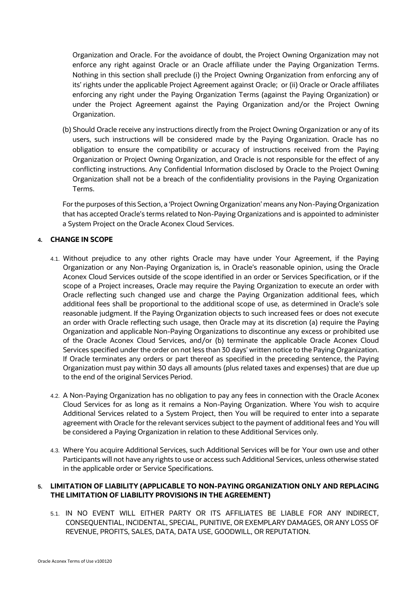Organization and Oracle. For the avoidance of doubt, the Project Owning Organization may not enforce any right against Oracle or an Oracle affiliate under the Paying Organization Terms. Nothing in this section shall preclude (i) the Project Owning Organization from enforcing any of its' rights under the applicable Project Agreement against Oracle; or (ii) Oracle or Oracle affiliates enforcing any right under the Paying Organization Terms (against the Paying Organization) or under the Project Agreement against the Paying Organization and/or the Project Owning Organization.

(b) Should Oracle receive any instructions directly from the Project Owning Organization or any of its users, such instructions will be considered made by the Paying Organization. Oracle has no obligation to ensure the compatibility or accuracy of instructions received from the Paying Organization or Project Owning Organization, and Oracle is not responsible for the effect of any conflicting instructions. Any Confidential Information disclosed by Oracle to the Project Owning Organization shall not be a breach of the confidentiality provisions in the Paying Organization Terms.

For the purposes of this Section, a 'Project Owning Organization' means any Non-Paying Organization that has accepted Oracle's terms related to Non-Paying Organizations and is appointed to administer a System Project on the Oracle Aconex Cloud Services.

# **4. CHANGE IN SCOPE**

- 4.1. Without prejudice to any other rights Oracle may have under Your Agreement, if the Paying Organization or any Non-Paying Organization is, in Oracle's reasonable opinion, using the Oracle Aconex Cloud Services outside of the scope identified in an order or Services Specification, or if the scope of a Project increases, Oracle may require the Paying Organization to execute an order with Oracle reflecting such changed use and charge the Paying Organization additional fees, which additional fees shall be proportional to the additional scope of use, as determined in Oracle's sole reasonable judgment. If the Paying Organization objects to such increased fees or does not execute an order with Oracle reflecting such usage, then Oracle may at its discretion (a) require the Paying Organization and applicable Non-Paying Organizations to discontinue any excess or prohibited use of the Oracle Aconex Cloud Services, and/or (b) terminate the applicable Oracle Aconex Cloud Services specified under the order on not less than 30 days' written notice to the Paying Organization. If Oracle terminates any orders or part thereof as specified in the preceding sentence, the Paying Organization must pay within 30 days all amounts (plus related taxes and expenses) that are due up to the end of the original Services Period.
- 4.2. A Non-Paying Organization has no obligation to pay any fees in connection with the Oracle Aconex Cloud Services for as long as it remains a Non-Paying Organization. Where You wish to acquire Additional Services related to a System Project, then You will be required to enter into a separate agreement with Oracle for the relevant services subject to the payment of additional fees and You will be considered a Paying Organization in relation to these Additional Services only.
- 4.3. Where You acquire Additional Services, such Additional Services will be for Your own use and other Participants will not have any rights to use or access such Additional Services, unless otherwise stated in the applicable order or Service Specifications.

# **5. LIMITATION OF LIABILITY (APPLICABLE TO NON-PAYING ORGANIZATION ONLY AND REPLACING THE LIMITATION OF LIABILITY PROVISIONS IN THE AGREEMENT)**

5.1. IN NO EVENT WILL EITHER PARTY OR ITS AFFILIATES BE LIABLE FOR ANY INDIRECT, CONSEQUENTIAL, INCIDENTAL, SPECIAL, PUNITIVE, OR EXEMPLARY DAMAGES, OR ANY LOSS OF REVENUE, PROFITS, SALES, DATA, DATA USE, GOODWILL, OR REPUTATION.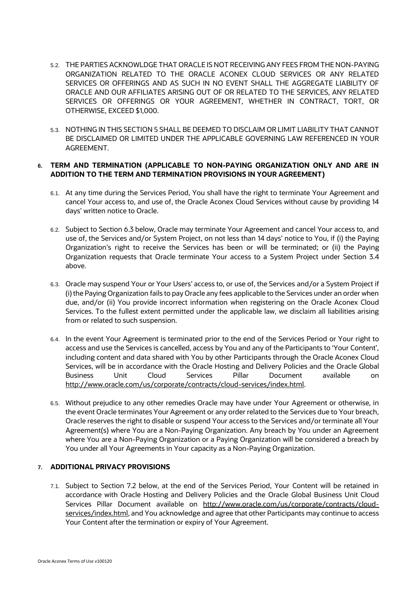- 5.2. THE PARTIES ACKNOWLDGE THAT ORACLE IS NOT RECEIVING ANY FEES FROM THE NON-PAYING ORGANIZATION RELATED TO THE ORACLE ACONEX CLOUD SERVICES OR ANY RELATED SERVICES OR OFFERINGS AND AS SUCH IN NO EVENT SHALL THE AGGREGATE LIABILITY OF ORACLE AND OUR AFFILIATES ARISING OUT OF OR RELATED TO THE SERVICES, ANY RELATED SERVICES OR OFFERINGS OR YOUR AGREEMENT, WHETHER IN CONTRACT, TORT, OR OTHERWISE, EXCEED \$1,000.
- 5.3. NOTHING IN THIS SECTION 5 SHALL BE DEEMED TO DISCLAIM OR LIMIT LIABILITY THAT CANNOT BE DISCLAIMED OR LIMITED UNDER THE APPLICABLE GOVERNING LAW REFERENCED IN YOUR AGREEMENT.

# **6. TERM AND TERMINATION (APPLICABLE TO NON-PAYING ORGANIZATION ONLY AND ARE IN ADDITION TO THE TERM AND TERMINATION PROVISIONS IN YOUR AGREEMENT)**

- 6.1. At any time during the Services Period, You shall have the right to terminate Your Agreement and cancel Your access to, and use of, the Oracle Aconex Cloud Services without cause by providing 14 days' written notice to Oracle.
- 6.2. Subject to Section 6.3 below, Oracle may terminate Your Agreement and cancel Your access to, and use of, the Services and/or System Project, on not less than 14 days' notice to You, if (i) the Paying Organization's right to receive the Services has been or will be terminated; or (ii) the Paying Organization requests that Oracle terminate Your access to a System Project under Section 3.4 above.
- 6.3. Oracle may suspend Your or Your Users' access to, or use of, the Services and/or a System Project if (i) the Paying Organization fails to pay Oracle any fees applicable to the Services under an order when due, and/or (ii) You provide incorrect information when registering on the Oracle Aconex Cloud Services. To the fullest extent permitted under the applicable law, we disclaim all liabilities arising from or related to such suspension.
- 6.4. In the event Your Agreement is terminated prior to the end of the Services Period or Your right to access and use the Services is cancelled, access by You and any of the Participants to 'Your Content', including content and data shared with You by other Participants through the Oracle Aconex Cloud Services, will be in accordance with the Oracle Hosting and Delivery Policies and the [Oracle Global](https://www.oracle.com/assets/gbu-cloud-services-pillar-0618-4492732.pdf)  [Business Unit Cloud Services Pillar Document](https://www.oracle.com/assets/gbu-cloud-services-pillar-0618-4492732.pdf) available on [http://www.oracle.com/us/corporate/contracts/cloud-services/index.html.](http://www.oracle.com/us/corporate/contracts/cloud-services/index.html)
- 6.5. Without prejudice to any other remedies Oracle may have under Your Agreement or otherwise, in the event Oracle terminates Your Agreement or any order related to the Services due to Your breach, Oracle reserves the right to disable or suspend Your access to the Services and/or terminate all Your Agreement(s) where You are a Non-Paying Organization. Any breach by You under an Agreement where You are a Non-Paying Organization or a Paying Organization will be considered a breach by You under all Your Agreements in Your capacity as a Non-Paying Organization.

## **7. ADDITIONAL PRIVACY PROVISIONS**

7.1. Subject to Section 7.2 below, at the end of the Services Period, Your Content will be retained in accordance with Oracle Hosting and Delivery Policies and the [Oracle Global Business Unit Cloud](https://www.oracle.com/assets/gbu-cloud-services-pillar-0618-4492732.pdf)  [Services Pillar Document](https://www.oracle.com/assets/gbu-cloud-services-pillar-0618-4492732.pdf) available on [http://www.oracle.com/us/corporate/contracts/cloud](http://www.oracle.com/us/corporate/contracts/cloud-services/index.html)[services/index.html,](http://www.oracle.com/us/corporate/contracts/cloud-services/index.html) and You acknowledge and agree that other Participants may continue to access Your Content after the termination or expiry of Your Agreement.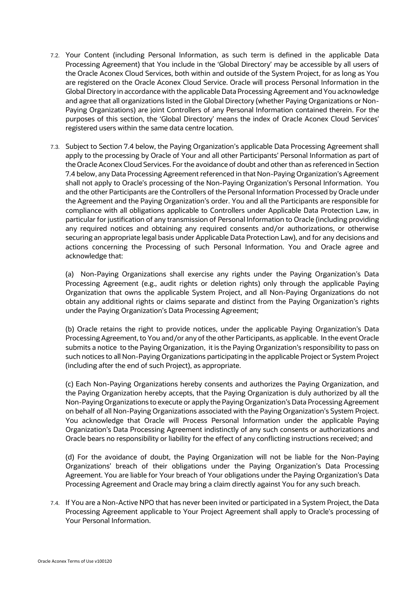- 7.2. Your Content (including Personal Information, as such term is defined in the applicable Data Processing Agreement) that You include in the 'Global Directory' may be accessible by all users of the Oracle Aconex Cloud Services, both within and outside of the System Project, for as long as You are registered on the Oracle Aconex Cloud Service. Oracle will process Personal Information in the Global Directory in accordance with the applicable Data Processing Agreement and You acknowledge and agree that all organizations listed in the Global Directory (whether Paying Organizations or Non-Paying Organizations) are joint Controllers of any Personal Information contained therein. For the purposes of this section, the 'Global Directory' means the index of Oracle Aconex Cloud Services' registered users within the same data centre location.
- 7.3. Subject to Section 7.4 below, the Paying Organization's applicable Data Processing Agreement shall apply to the processing by Oracle of Your and all other Participants' Personal Information as part of the Oracle Aconex Cloud Services. For the avoidance of doubt and other than as referenced in Section 7.4 below, any Data Processing Agreement referenced in that Non-Paying Organization's Agreement shall not apply to Oracle's processing of the Non-Paying Organization's Personal Information. You and the other Participants are the Controllers of the Personal Information Processed by Oracle under the Agreement and the Paying Organization's order. You and all the Participants are responsible for compliance with all obligations applicable to Controllers under Applicable Data Protection Law, in particular for justification of any transmission of Personal Information to Oracle (including providing any required notices and obtaining any required consents and/or authorizations, or otherwise securing an appropriate legal basis under Applicable Data Protection Law), and for any decisions and actions concerning the Processing of such Personal Information. You and Oracle agree and acknowledge that:

(a) Non-Paying Organizations shall exercise any rights under the Paying Organization's Data Processing Agreement (e.g., audit rights or deletion rights) only through the applicable Paying Organization that owns the applicable System Project, and all Non-Paying Organizations do not obtain any additional rights or claims separate and distinct from the Paying Organization's rights under the Paying Organization's Data Processing Agreement;

(b) Oracle retains the right to provide notices, under the applicable Paying Organization's Data Processing Agreement, to You and/or any of the other Participants, as applicable. In the event Oracle submits a notice to the Paying Organization, it is the Paying Organization's responsibility to pass on such notices to all Non-Paying Organizations participating in the applicable Project or System Project (including after the end of such Project), as appropriate.

(c) Each Non-Paying Organizations hereby consents and authorizes the Paying Organization, and the Paying Organization hereby accepts, that the Paying Organization is duly authorized by all the Non-Paying Organizations to execute or apply the Paying Organization's Data Processing Agreement on behalf of all Non-Paying Organizations associated with the Paying Organization's System Project. You acknowledge that Oracle will Process Personal Information under the applicable Paying Organization's Data Processing Agreement indistinctly of any such consents or authorizations and Oracle bears no responsibility or liability for the effect of any conflicting instructions received; and

(d) For the avoidance of doubt, the Paying Organization will not be liable for the Non-Paying Organizations' breach of their obligations under the Paying Organization's Data Processing Agreement. You are liable for Your breach of Your obligations under the Paying Organization's Data Processing Agreement and Oracle may bring a claim directly against You for any such breach.

7.4. If You are a Non-Active NPO that has never been invited or participated in a System Project, the Data Processing Agreement applicable to Your Project Agreement shall apply to Oracle's processing of Your Personal Information.